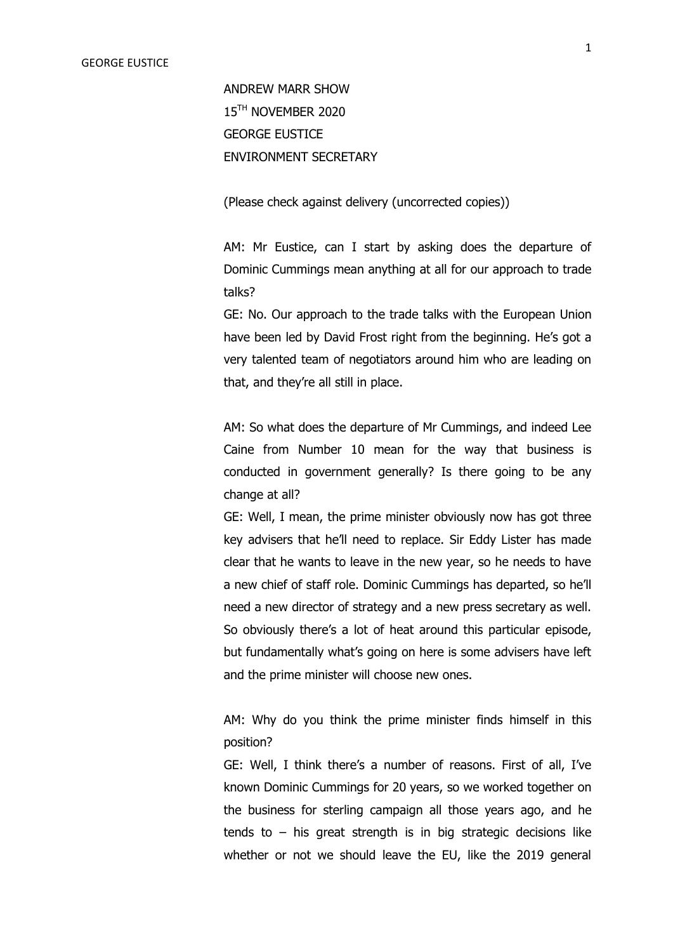ANDREW MARR SHOW 15<sup>TH</sup> NOVEMBER 2020 GEORGE EUSTICE ENVIRONMENT SECRETARY

(Please check against delivery (uncorrected copies))

AM: Mr Eustice, can I start by asking does the departure of Dominic Cummings mean anything at all for our approach to trade talks?

GE: No. Our approach to the trade talks with the European Union have been led by David Frost right from the beginning. He's got a very talented team of negotiators around him who are leading on that, and they're all still in place.

AM: So what does the departure of Mr Cummings, and indeed Lee Caine from Number 10 mean for the way that business is conducted in government generally? Is there going to be any change at all?

GE: Well, I mean, the prime minister obviously now has got three key advisers that he'll need to replace. Sir Eddy Lister has made clear that he wants to leave in the new year, so he needs to have a new chief of staff role. Dominic Cummings has departed, so he'll need a new director of strategy and a new press secretary as well. So obviously there's a lot of heat around this particular episode, but fundamentally what's going on here is some advisers have left and the prime minister will choose new ones.

AM: Why do you think the prime minister finds himself in this position?

GE: Well, I think there's a number of reasons. First of all, I've known Dominic Cummings for 20 years, so we worked together on the business for sterling campaign all those years ago, and he tends to  $-$  his great strength is in big strategic decisions like whether or not we should leave the EU, like the 2019 general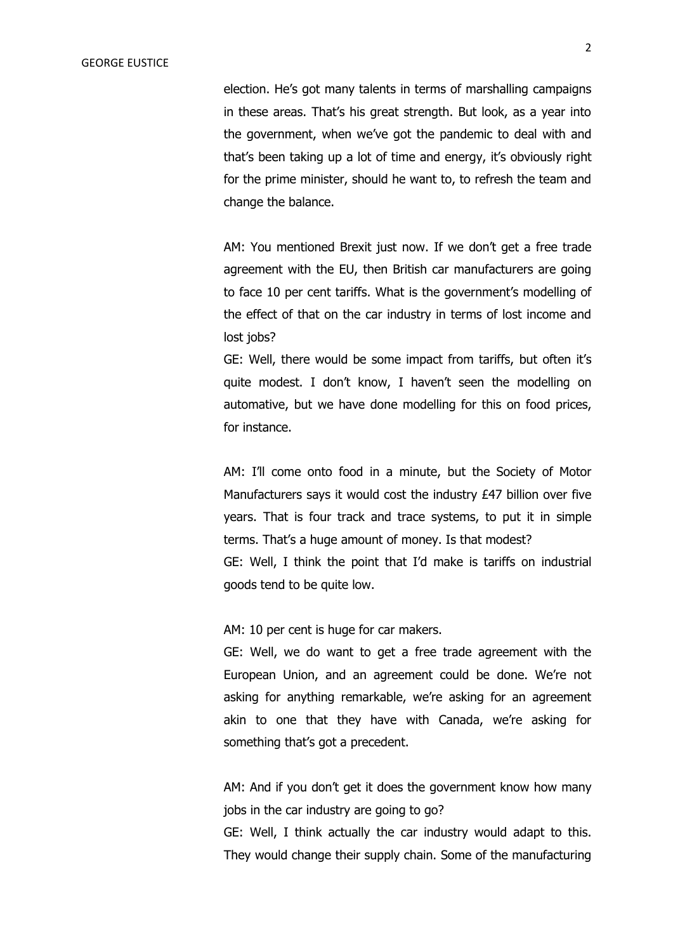election. He's got many talents in terms of marshalling campaigns in these areas. That's his great strength. But look, as a year into the government, when we've got the pandemic to deal with and that's been taking up a lot of time and energy, it's obviously right for the prime minister, should he want to, to refresh the team and change the balance.

AM: You mentioned Brexit just now. If we don't get a free trade agreement with the EU, then British car manufacturers are going to face 10 per cent tariffs. What is the government's modelling of the effect of that on the car industry in terms of lost income and lost jobs?

GE: Well, there would be some impact from tariffs, but often it's quite modest. I don't know, I haven't seen the modelling on automative, but we have done modelling for this on food prices, for instance.

AM: I'll come onto food in a minute, but the Society of Motor Manufacturers says it would cost the industry £47 billion over five years. That is four track and trace systems, to put it in simple terms. That's a huge amount of money. Is that modest? GE: Well, I think the point that I'd make is tariffs on industrial goods tend to be quite low.

AM: 10 per cent is huge for car makers.

GE: Well, we do want to get a free trade agreement with the European Union, and an agreement could be done. We're not asking for anything remarkable, we're asking for an agreement akin to one that they have with Canada, we're asking for something that's got a precedent.

AM: And if you don't get it does the government know how many jobs in the car industry are going to go?

GE: Well, I think actually the car industry would adapt to this. They would change their supply chain. Some of the manufacturing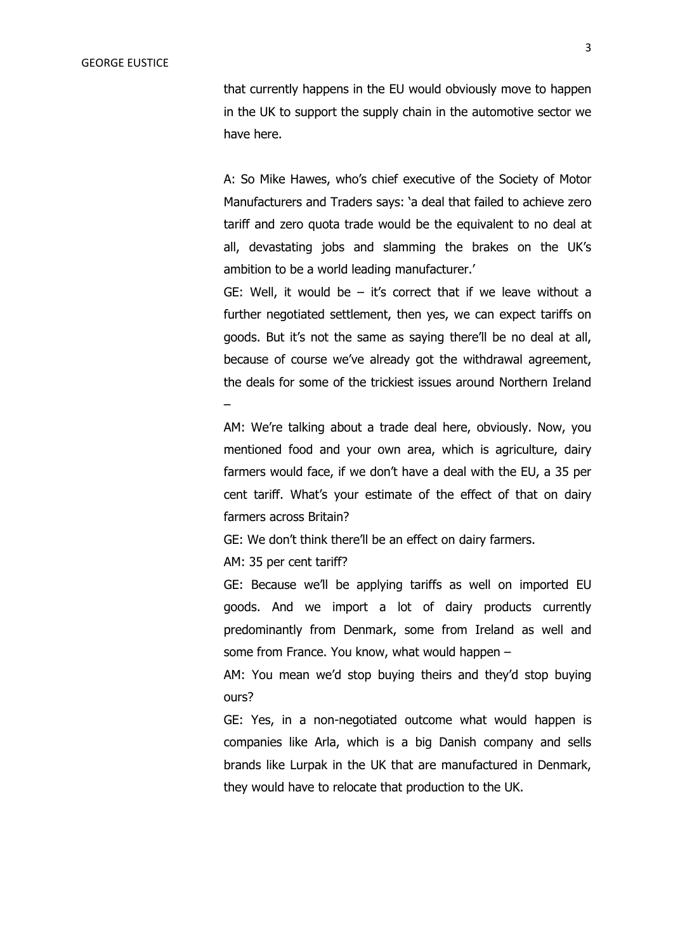that currently happens in the EU would obviously move to happen in the UK to support the supply chain in the automotive sector we have here.

A: So Mike Hawes, who's chief executive of the Society of Motor Manufacturers and Traders says: 'a deal that failed to achieve zero tariff and zero quota trade would be the equivalent to no deal at all, devastating jobs and slamming the brakes on the UK's ambition to be a world leading manufacturer.'

GE: Well, it would be  $-$  it's correct that if we leave without a further negotiated settlement, then yes, we can expect tariffs on goods. But it's not the same as saying there'll be no deal at all, because of course we've already got the withdrawal agreement, the deals for some of the trickiest issues around Northern Ireland –

AM: We're talking about a trade deal here, obviously. Now, you mentioned food and your own area, which is agriculture, dairy farmers would face, if we don't have a deal with the EU, a 35 per cent tariff. What's your estimate of the effect of that on dairy farmers across Britain?

GE: We don't think there'll be an effect on dairy farmers.

AM: 35 per cent tariff?

GE: Because we'll be applying tariffs as well on imported EU goods. And we import a lot of dairy products currently predominantly from Denmark, some from Ireland as well and some from France. You know, what would happen –

AM: You mean we'd stop buying theirs and they'd stop buying ours?

GE: Yes, in a non-negotiated outcome what would happen is companies like Arla, which is a big Danish company and sells brands like Lurpak in the UK that are manufactured in Denmark, they would have to relocate that production to the UK.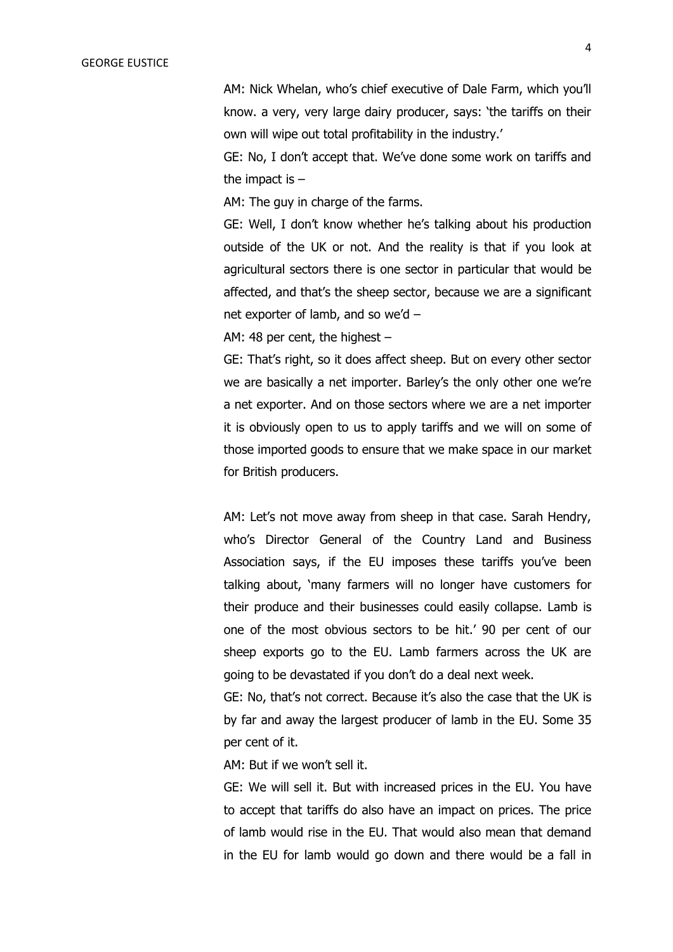AM: Nick Whelan, who's chief executive of Dale Farm, which you'll know. a very, very large dairy producer, says: 'the tariffs on their own will wipe out total profitability in the industry.'

GE: No, I don't accept that. We've done some work on tariffs and the impact is  $-$ 

AM: The guy in charge of the farms.

GE: Well, I don't know whether he's talking about his production outside of the UK or not. And the reality is that if you look at agricultural sectors there is one sector in particular that would be affected, and that's the sheep sector, because we are a significant net exporter of lamb, and so we'd –

AM: 48 per cent, the highest –

GE: That's right, so it does affect sheep. But on every other sector we are basically a net importer. Barley's the only other one we're a net exporter. And on those sectors where we are a net importer it is obviously open to us to apply tariffs and we will on some of those imported goods to ensure that we make space in our market for British producers.

AM: Let's not move away from sheep in that case. Sarah Hendry, who's Director General of the Country Land and Business Association says, if the EU imposes these tariffs you've been talking about, 'many farmers will no longer have customers for their produce and their businesses could easily collapse. Lamb is one of the most obvious sectors to be hit.' 90 per cent of our sheep exports go to the EU. Lamb farmers across the UK are going to be devastated if you don't do a deal next week.

GE: No, that's not correct. Because it's also the case that the UK is by far and away the largest producer of lamb in the EU. Some 35 per cent of it.

AM: But if we won't sell it.

GE: We will sell it. But with increased prices in the EU. You have to accept that tariffs do also have an impact on prices. The price of lamb would rise in the EU. That would also mean that demand in the EU for lamb would go down and there would be a fall in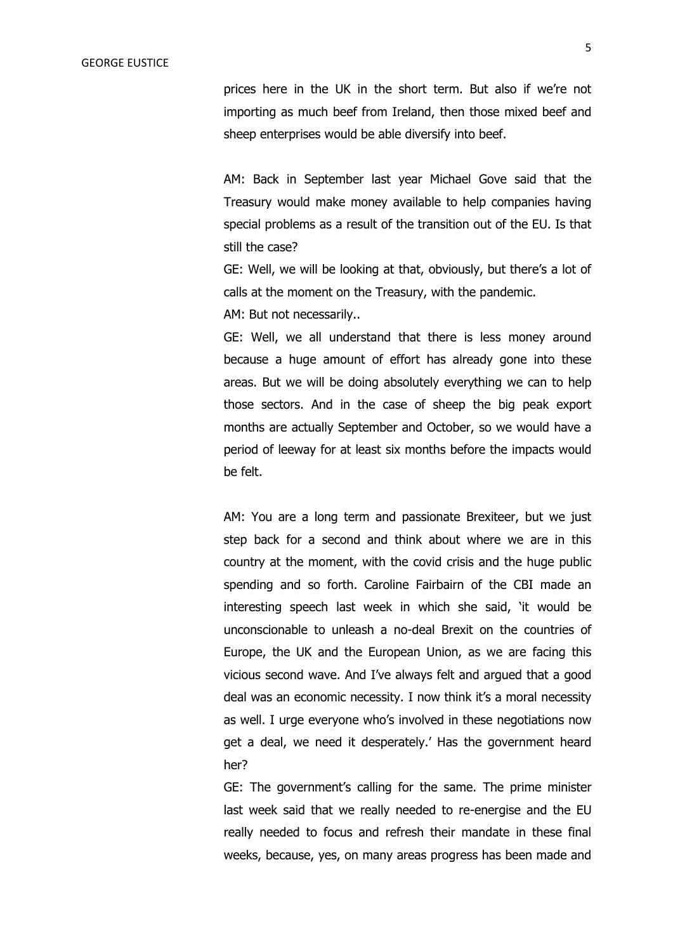prices here in the UK in the short term. But also if we're not importing as much beef from Ireland, then those mixed beef and sheep enterprises would be able diversify into beef.

AM: Back in September last year Michael Gove said that the Treasury would make money available to help companies having special problems as a result of the transition out of the EU. Is that still the case?

GE: Well, we will be looking at that, obviously, but there's a lot of calls at the moment on the Treasury, with the pandemic.

AM: But not necessarily..

GE: Well, we all understand that there is less money around because a huge amount of effort has already gone into these areas. But we will be doing absolutely everything we can to help those sectors. And in the case of sheep the big peak export months are actually September and October, so we would have a period of leeway for at least six months before the impacts would be felt.

AM: You are a long term and passionate Brexiteer, but we just step back for a second and think about where we are in this country at the moment, with the covid crisis and the huge public spending and so forth. Caroline Fairbairn of the CBI made an interesting speech last week in which she said, 'it would be unconscionable to unleash a no-deal Brexit on the countries of Europe, the UK and the European Union, as we are facing this vicious second wave. And I've always felt and argued that a good deal was an economic necessity. I now think it's a moral necessity as well. I urge everyone who's involved in these negotiations now get a deal, we need it desperately.' Has the government heard her?

GE: The government's calling for the same. The prime minister last week said that we really needed to re-energise and the EU really needed to focus and refresh their mandate in these final weeks, because, yes, on many areas progress has been made and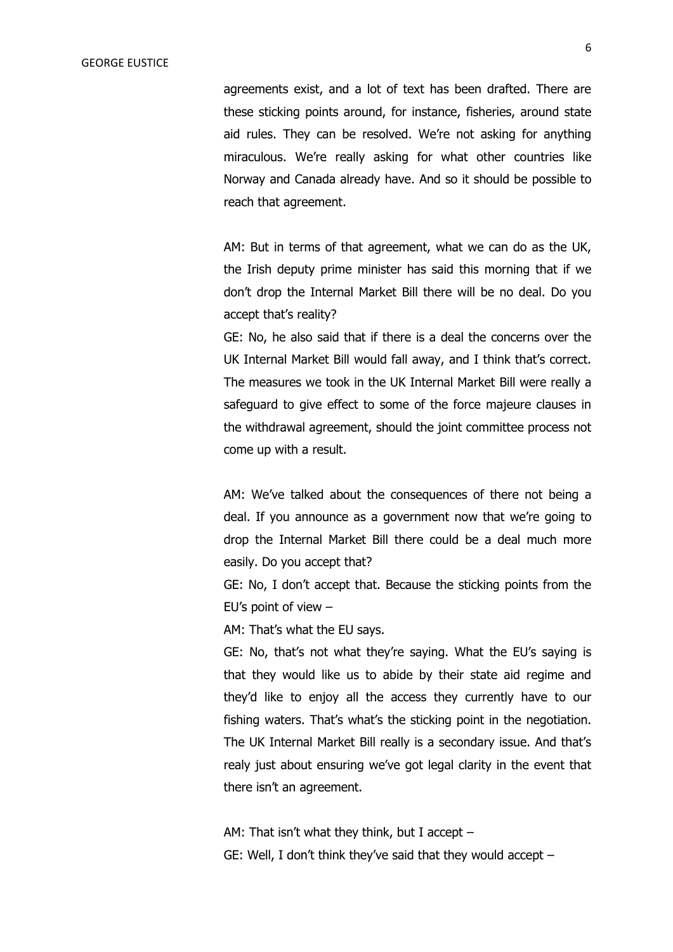agreements exist, and a lot of text has been drafted. There are these sticking points around, for instance, fisheries, around state aid rules. They can be resolved. We're not asking for anything miraculous. We're really asking for what other countries like Norway and Canada already have. And so it should be possible to reach that agreement.

AM: But in terms of that agreement, what we can do as the UK, the Irish deputy prime minister has said this morning that if we don't drop the Internal Market Bill there will be no deal. Do you accept that's reality?

GE: No, he also said that if there is a deal the concerns over the UK Internal Market Bill would fall away, and I think that's correct. The measures we took in the UK Internal Market Bill were really a safeguard to give effect to some of the force majeure clauses in the withdrawal agreement, should the joint committee process not come up with a result.

AM: We've talked about the consequences of there not being a deal. If you announce as a government now that we're going to drop the Internal Market Bill there could be a deal much more easily. Do you accept that?

GE: No, I don't accept that. Because the sticking points from the EU's point of view –

AM: That's what the EU says.

GE: No, that's not what they're saying. What the EU's saying is that they would like us to abide by their state aid regime and they'd like to enjoy all the access they currently have to our fishing waters. That's what's the sticking point in the negotiation. The UK Internal Market Bill really is a secondary issue. And that's realy just about ensuring we've got legal clarity in the event that there isn't an agreement.

AM: That isn't what they think, but I accept – GE: Well, I don't think they've said that they would accept –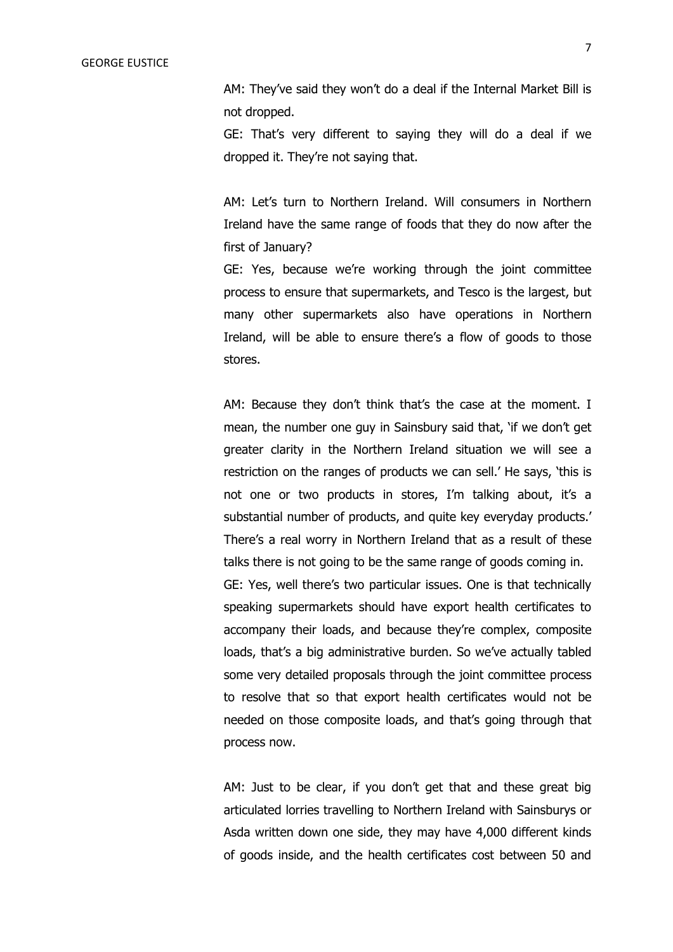AM: They've said they won't do a deal if the Internal Market Bill is not dropped.

GE: That's very different to saying they will do a deal if we dropped it. They're not saying that.

AM: Let's turn to Northern Ireland. Will consumers in Northern Ireland have the same range of foods that they do now after the first of January?

GE: Yes, because we're working through the joint committee process to ensure that supermarkets, and Tesco is the largest, but many other supermarkets also have operations in Northern Ireland, will be able to ensure there's a flow of goods to those stores.

AM: Because they don't think that's the case at the moment. I mean, the number one guy in Sainsbury said that, 'if we don't get greater clarity in the Northern Ireland situation we will see a restriction on the ranges of products we can sell.' He says, 'this is not one or two products in stores, I'm talking about, it's a substantial number of products, and quite key everyday products.' There's a real worry in Northern Ireland that as a result of these talks there is not going to be the same range of goods coming in. GE: Yes, well there's two particular issues. One is that technically speaking supermarkets should have export health certificates to accompany their loads, and because they're complex, composite loads, that's a big administrative burden. So we've actually tabled some very detailed proposals through the joint committee process to resolve that so that export health certificates would not be needed on those composite loads, and that's going through that process now.

AM: Just to be clear, if you don't get that and these great big articulated lorries travelling to Northern Ireland with Sainsburys or Asda written down one side, they may have 4,000 different kinds of goods inside, and the health certificates cost between 50 and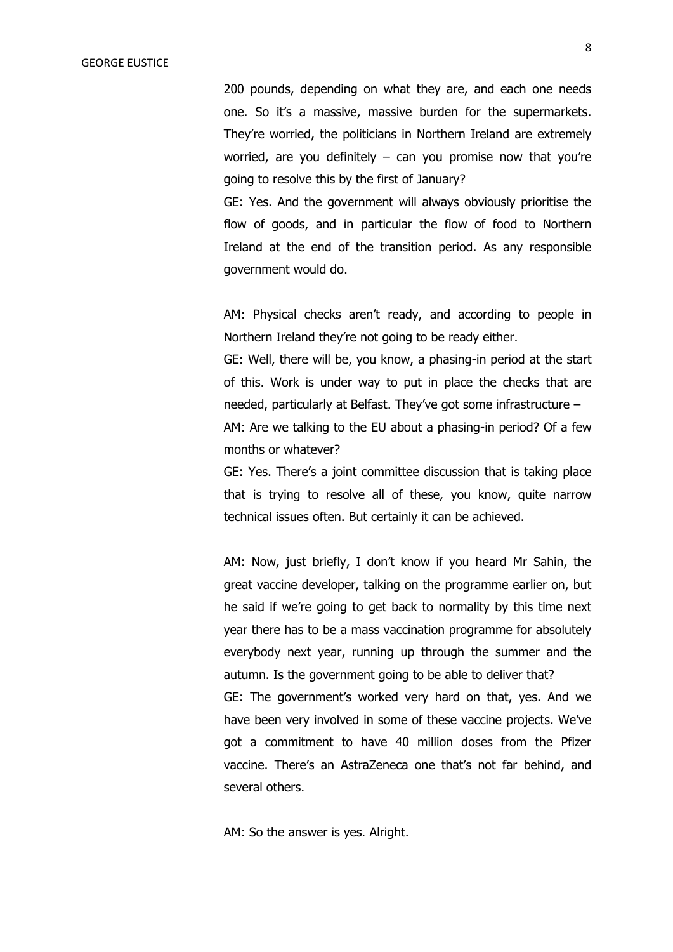200 pounds, depending on what they are, and each one needs one. So it's a massive, massive burden for the supermarkets. They're worried, the politicians in Northern Ireland are extremely worried, are you definitely – can you promise now that you're going to resolve this by the first of January?

GE: Yes. And the government will always obviously prioritise the flow of goods, and in particular the flow of food to Northern Ireland at the end of the transition period. As any responsible government would do.

AM: Physical checks aren't ready, and according to people in Northern Ireland they're not going to be ready either.

GE: Well, there will be, you know, a phasing-in period at the start of this. Work is under way to put in place the checks that are needed, particularly at Belfast. They've got some infrastructure – AM: Are we talking to the EU about a phasing-in period? Of a few months or whatever?

GE: Yes. There's a joint committee discussion that is taking place that is trying to resolve all of these, you know, quite narrow technical issues often. But certainly it can be achieved.

AM: Now, just briefly, I don't know if you heard Mr Sahin, the great vaccine developer, talking on the programme earlier on, but he said if we're going to get back to normality by this time next year there has to be a mass vaccination programme for absolutely everybody next year, running up through the summer and the autumn. Is the government going to be able to deliver that? GE: The government's worked very hard on that, yes. And we have been very involved in some of these vaccine projects. We've got a commitment to have 40 million doses from the Pfizer vaccine. There's an AstraZeneca one that's not far behind, and several others.

AM: So the answer is yes. Alright.